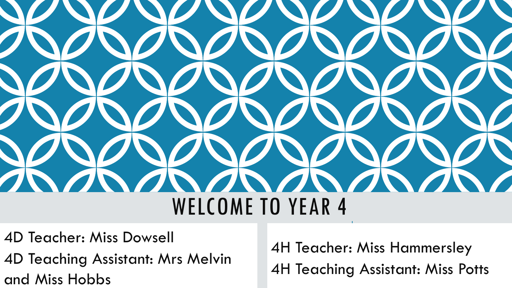

- 4D Teacher: Miss Dowsell
- 4D Teaching Assistant: Mrs Melvin and Miss Hobbs

4H Teacher: Miss Hammersley 4H Teaching Assistant: Miss Potts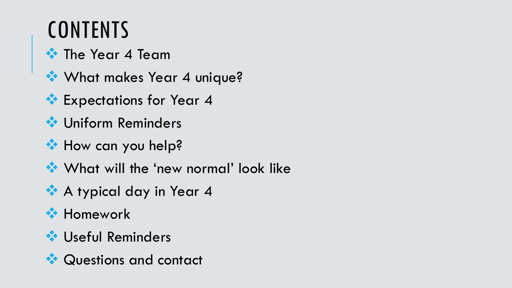### **CONTENTS**

**☆ The Year 4 Team** 

- **What makes Year 4 unique?**
- **Expectations for Year 4**
- **◆ Uniform Reminders**
- **How can you help?**
- ◆ What will the 'new normal' look like
- **A typical day in Year 4**
- **\*\*** Homework
- **❖ Useful Reminders**
- **◆ Questions and contact**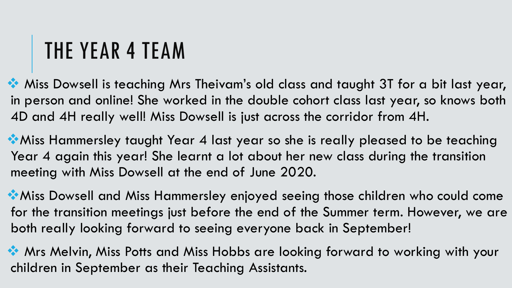# THE YEAR 4 TEAM

**Miss Dowsell is teaching Mrs Theivam's old class and taught 3T for a bit last year,** in person and online! She worked in the double cohort class last year, so knows both 4D and 4H really well! Miss Dowsell is just across the corridor from 4H.

Miss Hammersley taught Year 4 last year so she is really pleased to be teaching Year 4 again this year! She learnt a lot about her new class during the transition meeting with Miss Dowsell at the end of June 2020.

Miss Dowsell and Miss Hammersley enjoyed seeing those children who could come for the transition meetings just before the end of the Summer term. However, we are both really looking forward to seeing everyone back in September!

**Mrs Melvin, Miss Potts and Miss Hobbs are looking forward to working with your** children in September as their Teaching Assistants.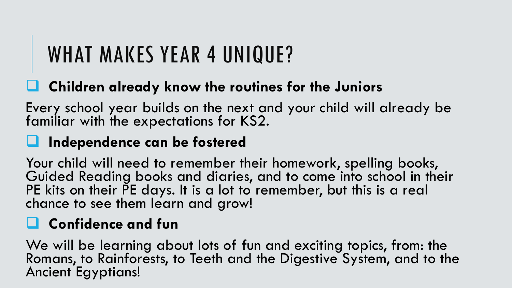# WHAT MAKES YEAR 4 UNIQUE?

#### **Children already know the routines for the Juniors**

Every school year builds on the next and your child will already be familiar with the expectations for KS2.

#### **Independence can be fostered**

Your child will need to remember their homework, spelling books, Guided Reading books and diaries, and to come into school in their PE kits on their PE days. It is a lot to remember, but this is a real chance to see them learn and grow!

#### **Confidence and fun**

We will be learning about lots of fun and exciting topics, from: the Romans, to Rainforests, to Teeth and the Digestive System, and to the Ancient Egyptians!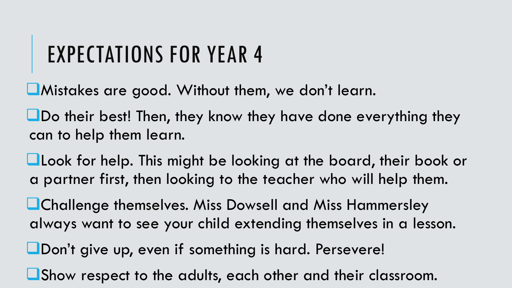# EXPECTATIONS FOR YEAR 4

Mistakes are good. Without them, we don't learn.

Do their best! Then, they know they have done everything they can to help them learn.

**Look for help.** This might be looking at the board, their book or a partner first, then looking to the teacher who will help them.

**Lathallenge themselves. Miss Dowsell and Miss Hammersley** always want to see your child extending themselves in a lesson.

**L**Don't give up, even if something is hard. Persevere!

Show respect to the adults, each other and their classroom.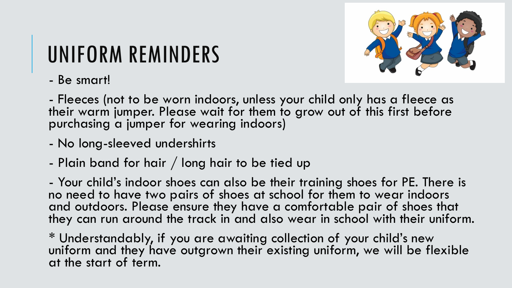# UNIFORM REMINDERS



- Be smart!

- Fleeces (not to be worn indoors, unless your child only has a fleece as their warm jumper. Please wait for them to grow out of this first before purchasing a jumper for wearing indoors)

- No long-sleeved undershirts
- Plain band for hair / long hair to be tied up

- Your child's indoor shoes can also be their training shoes for PE. There is no need to have two pairs of shoes at school for them to wear indoors and outdoors. Please ensure they have a comfortable pair of shoes that they can run around the track in and also wear in school with their uniform.

\* Understandably, if you are awaiting collection of your child's new uniform and they have outgrown their existing uniform, we will be flexible at the start of term.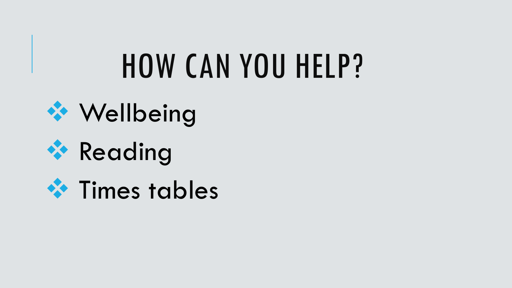# HOW CAN YOU HELP?





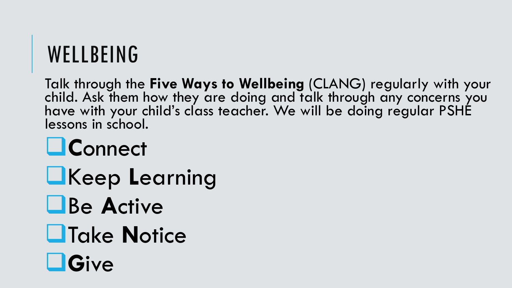#### **WELLBEING**

Talk through the **Five Ways to Wellbeing** (CLANG) regularly with your child. Ask them how they are doing and talk through any concerns you have with your child's class teacher. We will be doing regular PSHE lessons in school.

### **C**onnect

- Keep **L**earning
- Be **A**ctive
- Take **N**otice
- **G**ive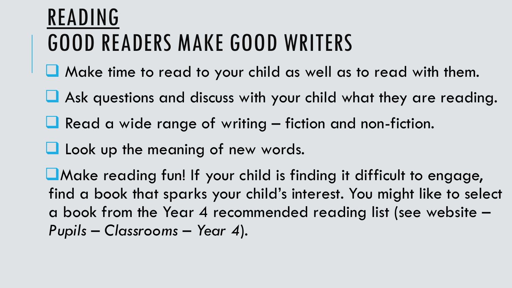### READING GOOD READERS MAKE GOOD WRITERS

- **L** Make time to read to your child as well as to read with them.
- Ask questions and discuss with your child what they are reading.
- $\Box$  Read a wide range of writing fiction and non-fiction.
- **L** Look up the meaning of new words.

Make reading fun! If your child is finding it difficult to engage, find a book that sparks your child's interest. You might like to select a book from the Year 4 recommended reading list (see website – *Pupils* – *Classrooms* – *Year 4*).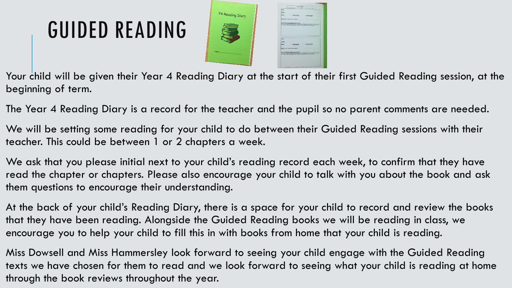# GUIDED READING



Your child will be given their Year 4 Reading Diary at the start of their first Guided Reading session, at the beginning of term.

The Year 4 Reading Diary is a record for the teacher and the pupil so no parent comments are needed.

We will be setting some reading for your child to do between their Guided Reading sessions with their teacher. This could be between 1 or 2 chapters a week.

We ask that you please initial next to your child's reading record each week, to confirm that they have read the chapter or chapters. Please also encourage your child to talk with you about the book and ask them questions to encourage their understanding.

At the back of your child's Reading Diary, there is a space for your child to record and review the books that they have been reading. Alongside the Guided Reading books we will be reading in class, we encourage you to help your child to fill this in with books from home that your child is reading.

Miss Dowsell and Miss Hammersley look forward to seeing your child engage with the Guided Reading texts we have chosen for them to read and we look forward to seeing what your child is reading at home through the book reviews throughout the year.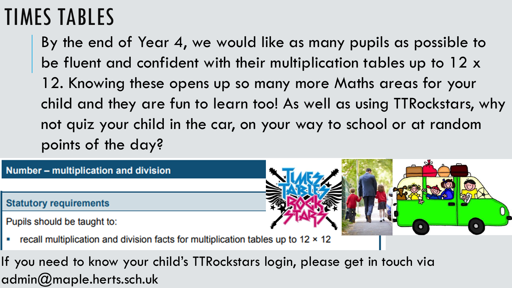#### TIMES TABLES

By the end of Year 4, we would like as many pupils as possible to be fluent and confident with their multiplication tables up to 12 x 12. Knowing these opens up so many more Maths areas for your child and they are fun to learn too! As well as using TTRockstars, why not quiz your child in the car, on your way to school or at random points of the day?



If you need to know your child's TTRockstars login, please get in touch via admin@maple.herts.sch.uk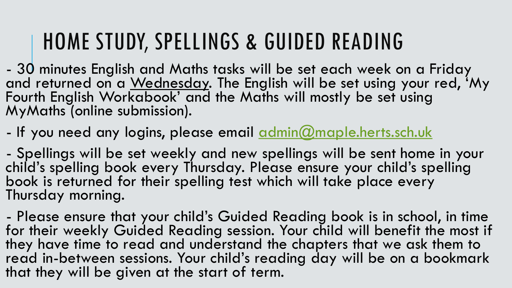### HOME STUDY, SPELLINGS & GUIDED READING

- 30 minutes English and Maths tasks will be set each week on a Friday and returned on a Wednesday. The English will be set using your red, 'My Fourth English Workabook' and the Maths will mostly be set using MyMaths (online submission).

- If you need any logins, please email [admin@maple.herts.sch.uk](mailto:admin@maple.herts.sch.uk)

- Spellings will be set weekly and new spellings will be sent home in your child's spelling book every Thursday. Please ensure your child's spelling book is returned for their spelling test which will take place every Thursday morning.

- Please ensure that your child's Guided Reading book is in school, in time for their weekly Guided Reading session. Your child will benefit the most if they have time to read and understand the chapters that we ask them to read in-between sessions. Your child's reading day will be on a bookmark that they will be given at the start of term.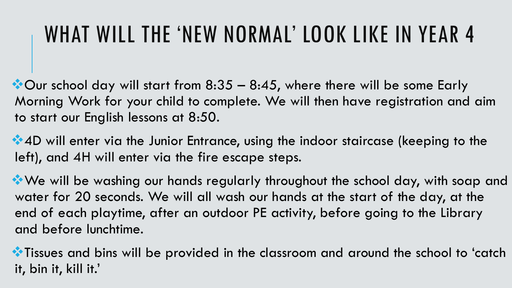# WHAT WILL THE 'NEW NORMAL' LOOK LIKE IN YEAR 4

 $\bullet$  Our school day will start from 8:35 – 8:45, where there will be some Early Morning Work for your child to complete. We will then have registration and aim to start our English lessons at 8:50.

4D will enter via the Junior Entrance, using the indoor staircase (keeping to the left), and 4H will enter via the fire escape steps.

We will be washing our hands regularly throughout the school day, with soap and water for 20 seconds. We will all wash our hands at the start of the day, at the end of each playtime, after an outdoor PE activity, before going to the Library and before lunchtime.

 $\bullet$  Tissues and bins will be provided in the classroom and around the school to 'catch it, bin it, kill it.'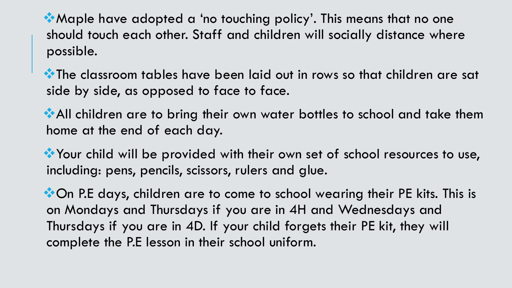Maple have adopted a 'no touching policy'. This means that no one should touch each other. Staff and children will socially distance where possible.

**\*\*** The classroom tables have been laid out in rows so that children are sat side by side, as opposed to face to face.

All children are to bring their own water bottles to school and take them home at the end of each day.

Your child will be provided with their own set of school resources to use, including: pens, pencils, scissors, rulers and glue.

\*On P.E days, children are to come to school wearing their PE kits. This is on Mondays and Thursdays if you are in 4H and Wednesdays and Thursdays if you are in 4D. If your child forgets their PE kit, they will complete the P.E lesson in their school uniform.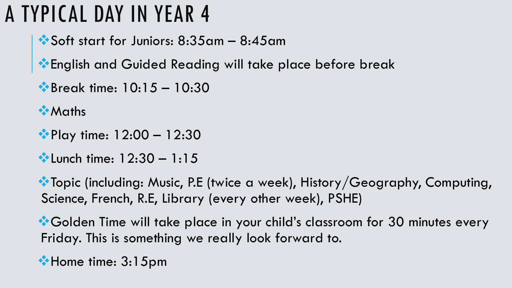### A TYPICAL DAY IN YEAR 4

- Soft start for Juniors: 8:35am 8:45am
- **\*** English and Guided Reading will take place before break
- Break time: 10:15 10:30
- **Maths**
- **Play time: 12:00 12:30**
- **We Lunch time: 12:30 1:15**

**\*\*** Topic (including: Music, P.E (twice a week), History/Geography, Computing, Science, French, R.E, Library (every other week), PSHE)

\*Golden Time will take place in your child's classroom for 30 minutes every Friday. This is something we really look forward to.

\*Home time: 3:15pm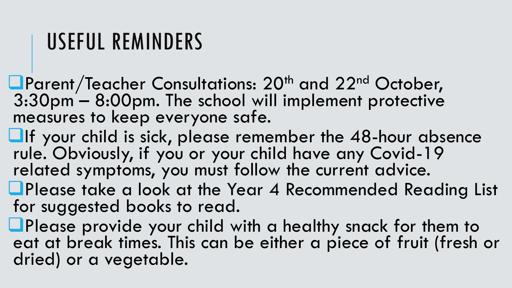#### USEFUL REMINDERS

- **L**Parent/Teacher Consultations: 20<sup>th</sup> and 22<sup>nd</sup> October, 3:30pm – 8:00pm. The school will implement protective measures to keep everyone safe.
- $\Box$ If your child is sick, please remember the 48-hour absence rule. Obviously, if you or your child have any Covid-19 related symptoms, you must follow the current advice.
- **QPlease take a look at the Year 4 Recommended Reading List** for suggested books to read.
- **L**Please provide your child with a healthy snack for them to eat at break times. This can be either a piece of fruit (fresh or dried) or a vegetable.